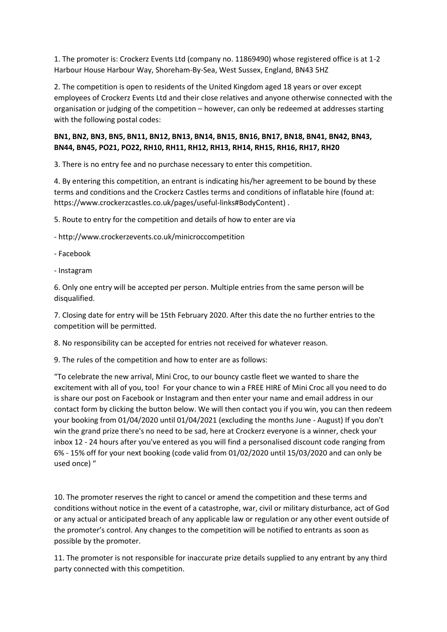1. The promoter is: Crockerz Events Ltd (company no. 11869490) whose registered office is at 1-2 Harbour House Harbour Way, Shoreham-By-Sea, West Sussex, England, BN43 5HZ

2. The competition is open to residents of the United Kingdom aged 18 years or over except employees of Crockerz Events Ltd and their close relatives and anyone otherwise connected with the organisation or judging of the competition – however, can only be redeemed at addresses starting with the following postal codes:

## **BN1, BN2, BN3, BN5, BN11, BN12, BN13, BN14, BN15, BN16, BN17, BN18, BN41, BN42, BN43, BN44, BN45, PO21, PO22, RH10, RH11, RH12, RH13, RH14, RH15, RH16, RH17, RH20**

3. There is no entry fee and no purchase necessary to enter this competition.

4. By entering this competition, an entrant is indicating his/her agreement to be bound by these terms and conditions and the Crockerz Castles terms and conditions of inflatable hire (found at: https://www.crockerzcastles.co.uk/pages/useful-links#BodyContent) .

5. Route to entry for the competition and details of how to enter are via

- http://www.crockerzevents.co.uk/minicroccompetition

- Facebook

- Instagram

6. Only one entry will be accepted per person. Multiple entries from the same person will be disqualified.

7. Closing date for entry will be 15th February 2020. After this date the no further entries to the competition will be permitted.

8. No responsibility can be accepted for entries not received for whatever reason.

9. The rules of the competition and how to enter are as follows:

"To celebrate the new arrival, Mini Croc, to our bouncy castle fleet we wanted to share the excitement with all of you, too! For your chance to win a FREE HIRE of Mini Croc all you need to do is share our post on Facebook or Instagram and then enter your name and email address in our contact form by clicking the button below. We will then contact you if you win, you can then redeem your booking from 01/04/2020 until 01/04/2021 (excluding the months June - August) If you don't win the grand prize there's no need to be sad, here at Crockerz everyone is a winner, check your inbox 12 - 24 hours after you've entered as you will find a personalised discount code ranging from 6% - 15% off for your next booking (code valid from 01/02/2020 until 15/03/2020 and can only be used once) "

10. The promoter reserves the right to cancel or amend the competition and these terms and conditions without notice in the event of a catastrophe, war, civil or military disturbance, act of God or any actual or anticipated breach of any applicable law or regulation or any other event outside of the promoter's control. Any changes to the competition will be notified to entrants as soon as possible by the promoter.

11. The promoter is not responsible for inaccurate prize details supplied to any entrant by any third party connected with this competition.